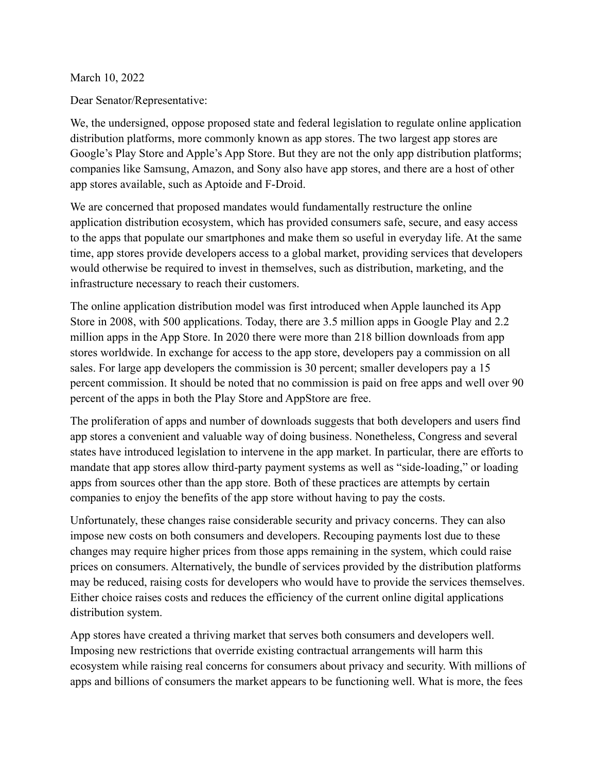March 10, 2022

Dear Senator/Representative:

We, the undersigned, oppose proposed state and federal legislation to regulate online application distribution platforms, more commonly known as app stores. The two largest app stores are Google's Play Store and Apple's App Store. But they are not the only app distribution platforms; companies like Samsung, Amazon, and Sony also have app stores, and there are a host of other app stores available, such as Aptoide and F-Droid.

We are concerned that proposed mandates would fundamentally restructure the online application distribution ecosystem, which has provided consumers safe, secure, and easy access to the apps that populate our smartphones and make them so useful in everyday life. At the same time, app stores provide developers access to a global market, providing services that developers would otherwise be required to invest in themselves, such as distribution, marketing, and the infrastructure necessary to reach their customers.

The online application distribution model was first introduced when Apple launched its App Store in 2008, with 500 applications. Today, there are 3.5 million apps in Google Play and 2.2 million apps in the App Store. In 2020 there were more than 218 billion downloads from app stores worldwide. In exchange for access to the app store, developers pay a commission on all sales. For large app developers the commission is 30 percent; smaller developers pay a 15 percent commission. It should be noted that no commission is paid on free apps and well over 90 percent of the apps in both the Play Store and AppStore are free.

The proliferation of apps and number of downloads suggests that both developers and users find app stores a convenient and valuable way of doing business. Nonetheless, Congress and several states have introduced legislation to intervene in the app market. In particular, there are efforts to mandate that app stores allow third-party payment systems as well as "side-loading," or loading apps from sources other than the app store. Both of these practices are attempts by certain companies to enjoy the benefits of the app store without having to pay the costs.

Unfortunately, these changes raise considerable security and privacy concerns. They can also impose new costs on both consumers and developers. Recouping payments lost due to these changes may require higher prices from those apps remaining in the system, which could raise prices on consumers. Alternatively, the bundle of services provided by the distribution platforms may be reduced, raising costs for developers who would have to provide the services themselves. Either choice raises costs and reduces the efficiency of the current online digital applications distribution system.

App stores have created a thriving market that serves both consumers and developers well. Imposing new restrictions that override existing contractual arrangements will harm this ecosystem while raising real concerns for consumers about privacy and security. With millions of apps and billions of consumers the market appears to be functioning well. What is more, the fees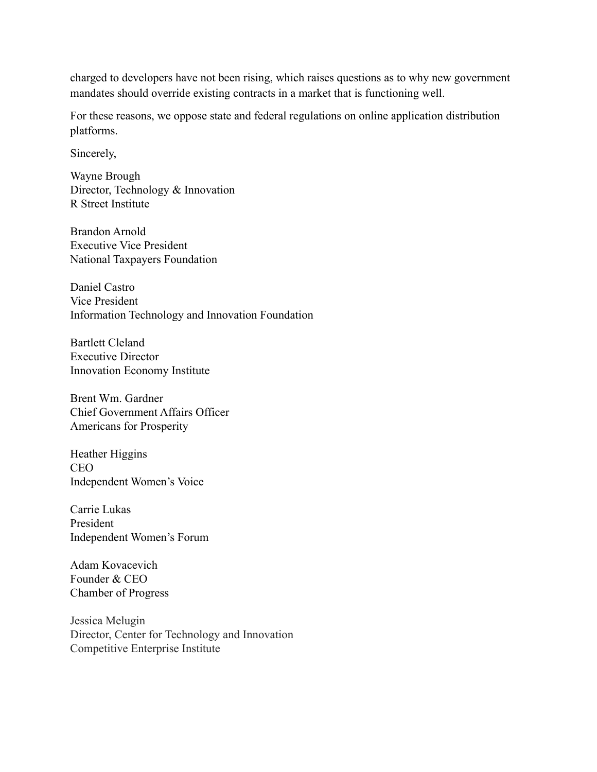charged to developers have not been rising, which raises questions as to why new government mandates should override existing contracts in a market that is functioning well.

For these reasons, we oppose state and federal regulations on online application distribution platforms.

Sincerely,

Wayne Brough Director, Technology & Innovation R Street Institute

Brandon Arnold Executive Vice President National Taxpayers Foundation

Daniel Castro Vice President Information Technology and Innovation Foundation

Bartlett Cleland Executive Director Innovation Economy Institute

Brent Wm. Gardner Chief Government Affairs Officer Americans for Prosperity

Heather Higgins CEO Independent Women's Voice

Carrie Lukas President Independent Women's Forum

Adam Kovacevich Founder & CEO Chamber of Progress

Jessica Melugin Director, Center for Technology and Innovation Competitive Enterprise Institute